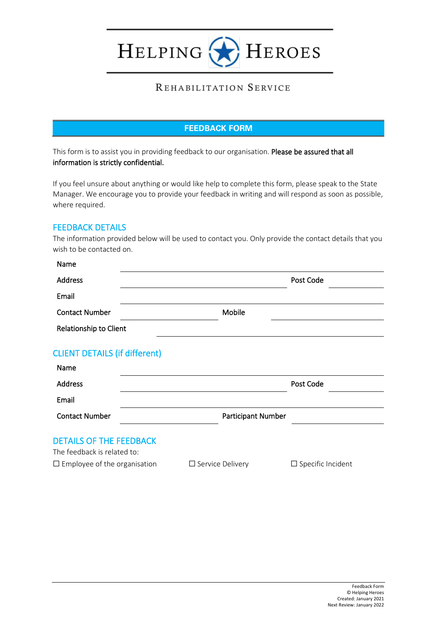HELPING **HEROES** 

# REHABILITATION SERVICE

## **FEEDBACK FORM**

This form is to assist you in providing feedback to our organisation. Please be assured that all information is strictly confidential.

If you feel unsure about anything or would like help to complete this form, please speak to the State Manager. We encourage you to provide your feedback in writing and will respond as soon as possible, where required.

## FEEDBACK DETAILS

The information provided below will be used to contact you. Only provide the contact details that you wish to be contacted on.

| Name                                                          |                         |                          |  |
|---------------------------------------------------------------|-------------------------|--------------------------|--|
| <b>Address</b>                                                |                         | Post Code                |  |
| Email                                                         |                         |                          |  |
| <b>Contact Number</b>                                         | Mobile                  |                          |  |
| Relationship to Client                                        |                         |                          |  |
| <b>CLIENT DETAILS (if different)</b><br>Name                  |                         |                          |  |
| <b>Address</b>                                                |                         | Post Code                |  |
| Email                                                         |                         |                          |  |
| <b>Contact Number</b>                                         | Participant Number      |                          |  |
| <b>DETAILS OF THE FEEDBACK</b><br>The feedback is related to: |                         |                          |  |
| $\square$ Employee of the organisation                        | $\Box$ Service Delivery | $\Box$ Specific Incident |  |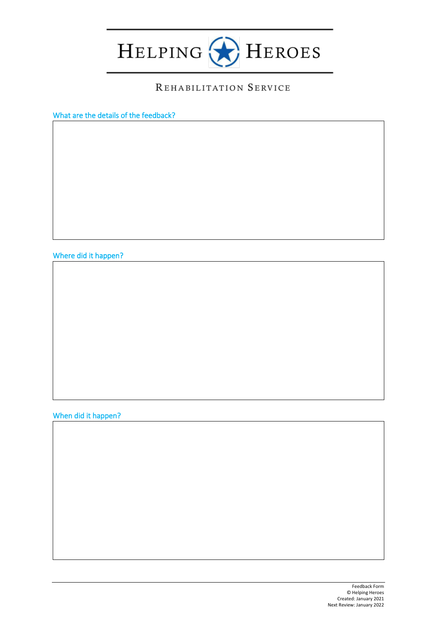

# REHABILITATION SERVICE

What are the details of the feedback?

Where did it happen?

When did it happen?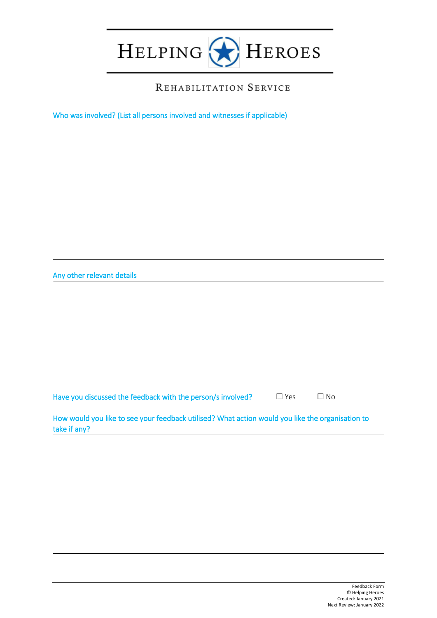

#### REHABILITATION SERVICE

Who was involved? (List all persons involved and witnesses if applicable)

Any other relevant details

Have you discussed the feedback with the person/s involved?  $□$  Yes  $□$  No

How would you like to see your feedback utilised? What action would you like the organisation to take if any?